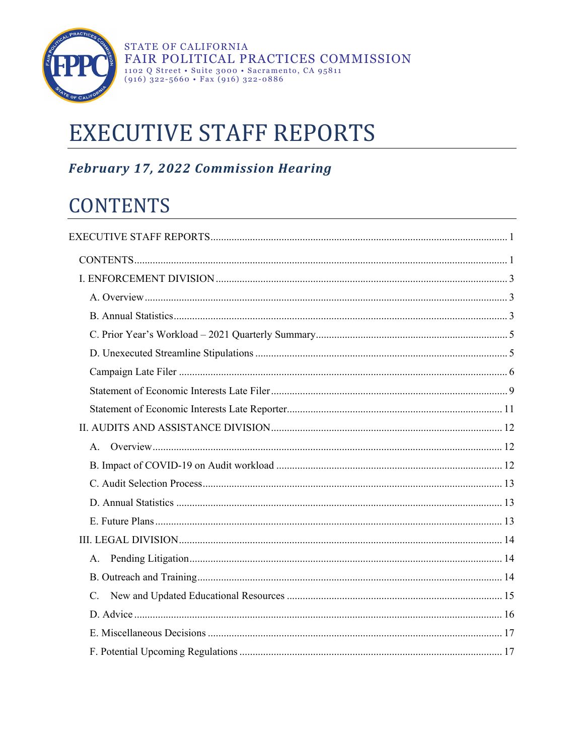

# <span id="page-0-0"></span>**EXECUTIVE STAFF REPORTS**

### **February 17, 2022 Commission Hearing**

## <span id="page-0-1"></span>**CONTENTS**

| A.    |
|-------|
|       |
|       |
|       |
|       |
|       |
|       |
|       |
| $C$ . |
|       |
|       |
|       |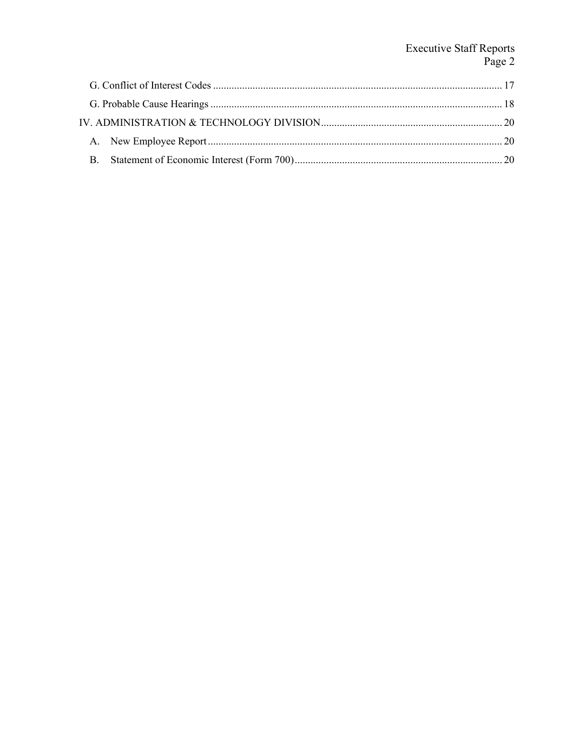# Executive Staff Reports<br>Page 2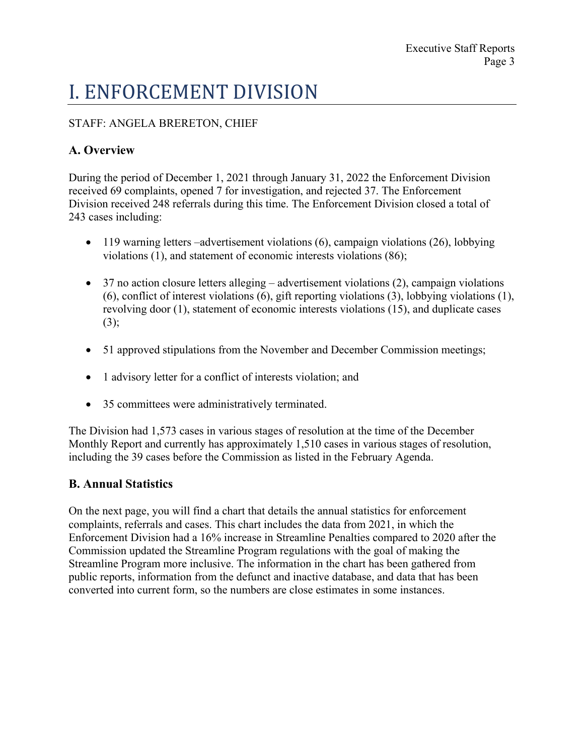## <span id="page-2-0"></span>I. ENFORCEMENT DIVISION

#### STAFF: ANGELA BRERETON, CHIEF

#### <span id="page-2-1"></span>**A. Overview**

During the period of December 1, 2021 through January 31, 2022 the Enforcement Division received 69 complaints, opened 7 for investigation, and rejected 37. The Enforcement Division received 248 referrals during this time. The Enforcement Division closed a total of 243 cases including:

- 119 warning letters –advertisement violations (6), campaign violations (26), lobbying violations (1), and statement of economic interests violations (86);
- 37 no action closure letters alleging advertisement violations (2), campaign violations (6), conflict of interest violations (6), gift reporting violations (3), lobbying violations (1), revolving door (1), statement of economic interests violations (15), and duplicate cases (3);
- 51 approved stipulations from the November and December Commission meetings;
- 1 advisory letter for a conflict of interests violation; and
- 35 committees were administratively terminated.

The Division had 1,573 cases in various stages of resolution at the time of the December Monthly Report and currently has approximately 1,510 cases in various stages of resolution, including the 39 cases before the Commission as listed in the February Agenda.

#### <span id="page-2-2"></span>**B. Annual Statistics**

On the next page, you will find a chart that details the annual statistics for enforcement complaints, referrals and cases. This chart includes the data from 2021, in which the Enforcement Division had a 16% increase in Streamline Penalties compared to 2020 after the Commission updated the Streamline Program regulations with the goal of making the Streamline Program more inclusive. The information in the chart has been gathered from public reports, information from the defunct and inactive database, and data that has been converted into current form, so the numbers are close estimates in some instances.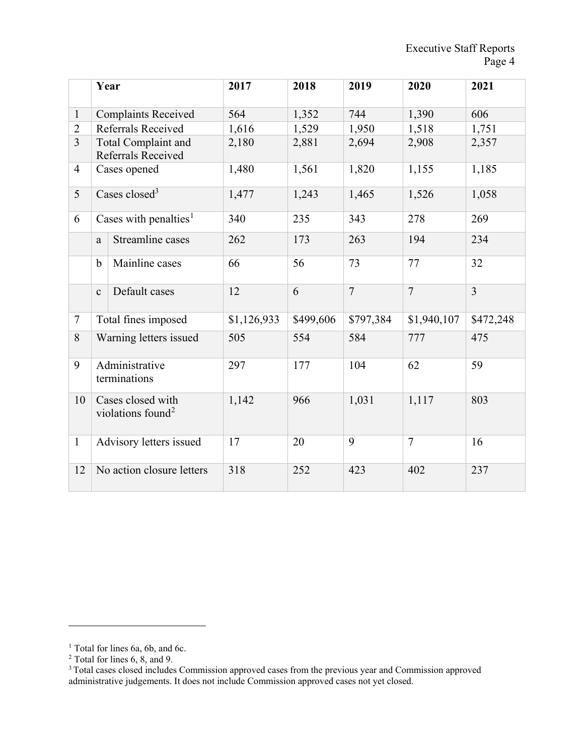|                |                                                    | Year                              | 2017        | 2018      | 2019           | 2020           | 2021           |
|----------------|----------------------------------------------------|-----------------------------------|-------------|-----------|----------------|----------------|----------------|
| $\mathbf{1}$   | <b>Complaints Received</b>                         |                                   | 564         | 1,352     | 744            | 1,390          | 606            |
| $\overline{2}$ | Referrals Received                                 |                                   | 1,616       | 1,529     | 1,950<br>1,518 |                | 1,751          |
| $\overline{3}$ | Total Complaint and<br>Referrals Received          |                                   | 2,180       | 2,881     | 2,694          | 2,908          | 2,357          |
| $\overline{4}$ | Cases opened                                       |                                   | 1,480       | 1,561     | 1,820          | 1,155          | 1,185          |
| 5              | Cases closed <sup>3</sup>                          |                                   | 1,477       | 1,243     | 1,465          | 1,526          | 1,058          |
| 6              |                                                    | Cases with penalties <sup>1</sup> | 340         | 235       | 343            | 278            | 269            |
|                | $\mathbf{a}$                                       | Streamline cases                  | 262         | 173       | 263            | 194            | 234            |
|                | b                                                  | Mainline cases                    | 66          | 56        | 73             | 77             | 32             |
|                | $\mathbf{C}$                                       | Default cases                     | 12          | 6         | $\overline{7}$ | $\overline{7}$ | $\overline{3}$ |
| $\tau$         |                                                    | Total fines imposed               | \$1,126,933 | \$499,606 | \$797,384      | \$1,940,107    | \$472,248      |
| 8              | Warning letters issued                             |                                   | 505         | 554       | 584            | 777            | 475            |
| 9              | Administrative<br>terminations                     |                                   | 297         | 177       | 104            | 62             | 59             |
| 10             | Cases closed with<br>violations found <sup>2</sup> |                                   | 1,142       | 966       | 1,031          | 1,117          | 803            |
| $\mathbf{1}$   | Advisory letters issued                            |                                   | 17          | 20        | 9              | $\overline{7}$ | 16             |
| 12             |                                                    | No action closure letters         | 318         | 252       | 423            | 402            | 237            |

 $\overline{a}$ 

<span id="page-3-0"></span><sup>&</sup>lt;sup>1</sup> Total for lines 6a, 6b, and 6c.

<span id="page-3-1"></span> $2$  Total for lines 6, 8, and 9.

<sup>&</sup>lt;sup>3</sup> Total cases closed includes Commission approved cases from the previous year and Commission approved administrative judgements. It does not include Commission approved cases not yet closed.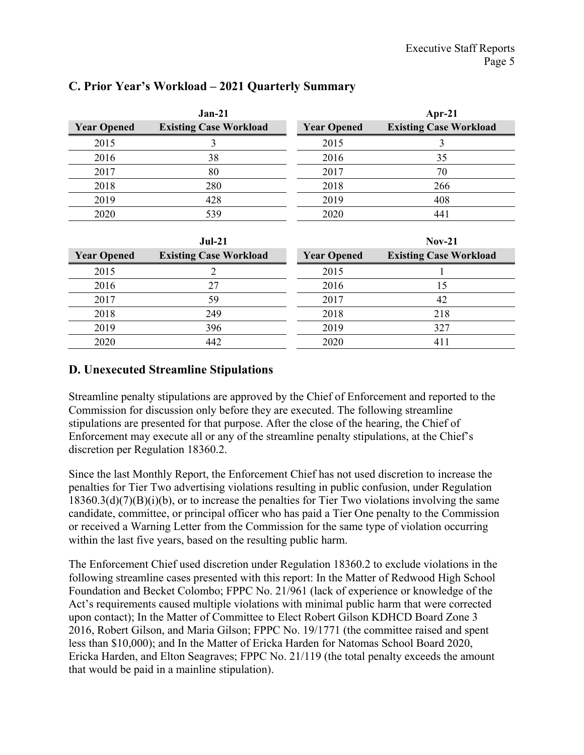|                    | $Jan-21$                      |                    | Apr-21                        |
|--------------------|-------------------------------|--------------------|-------------------------------|
| <b>Year Opened</b> | <b>Existing Case Workload</b> | <b>Year Opened</b> | <b>Existing Case Workload</b> |
| 2015               | 3                             | 2015               | 3                             |
| 2016               | 38                            | 2016               | 35                            |
| 2017               | 80                            | 2017               | 70                            |
| 2018               | 280                           | 2018               | 266                           |
| 2019               | 428                           | 2019               | 408                           |
| 2020               | 539                           | 2020               | 441                           |
|                    |                               |                    |                               |
|                    |                               |                    |                               |
|                    | $Jul-21$                      |                    | $Nov-21$                      |
| <b>Year Opened</b> | <b>Existing Case Workload</b> | <b>Year Opened</b> | <b>Existing Case Workload</b> |
| 2015               | 2                             | 2015               |                               |
| 2016               | 27                            | 2016               | 15                            |
| 2017               | 59                            | 2017               | 42                            |
| 2018               | 249                           | 2018               | 218                           |
| 2019               | 396                           | 2019               | 327                           |

#### <span id="page-4-0"></span>**C. Prior Year's Workload – 2021 Quarterly Summary**

#### <span id="page-4-1"></span>**D. Unexecuted Streamline Stipulations**

Streamline penalty stipulations are approved by the Chief of Enforcement and reported to the Commission for discussion only before they are executed. The following streamline stipulations are presented for that purpose. After the close of the hearing, the Chief of Enforcement may execute all or any of the streamline penalty stipulations, at the Chief's discretion per Regulation 18360.2.

Since the last Monthly Report, the Enforcement Chief has not used discretion to increase the penalties for Tier Two advertising violations resulting in public confusion, under Regulation 18360.3(d)(7)(B)(i)(b), or to increase the penalties for Tier Two violations involving the same candidate, committee, or principal officer who has paid a Tier One penalty to the Commission or received a Warning Letter from the Commission for the same type of violation occurring within the last five years, based on the resulting public harm.

The Enforcement Chief used discretion under Regulation 18360.2 to exclude violations in the following streamline cases presented with this report: In the Matter of Redwood High School Foundation and Becket Colombo; FPPC No. 21/961 (lack of experience or knowledge of the Act's requirements caused multiple violations with minimal public harm that were corrected upon contact); In the Matter of Committee to Elect Robert Gilson KDHCD Board Zone 3 2016, Robert Gilson, and Maria Gilson; FPPC No. 19/1771 (the committee raised and spent less than \$10,000); and In the Matter of Ericka Harden for Natomas School Board 2020, Ericka Harden, and Elton Seagraves; FPPC No. 21/119 (the total penalty exceeds the amount that would be paid in a mainline stipulation).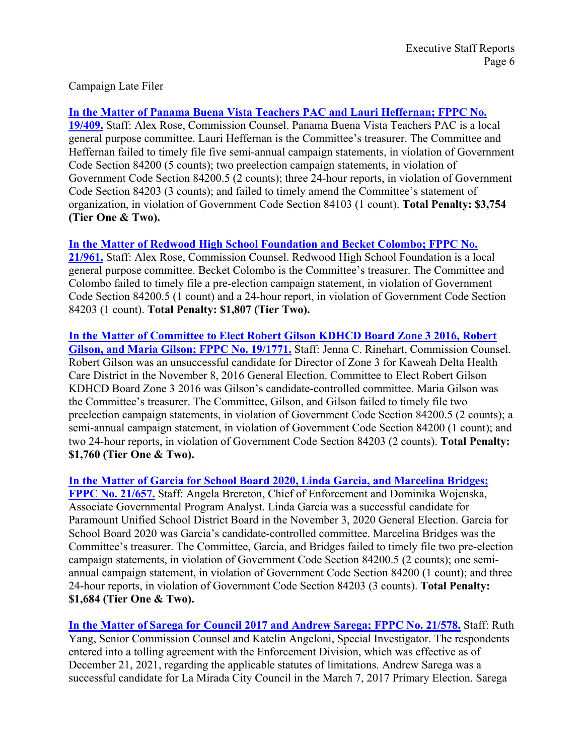<span id="page-5-0"></span>Campaign Late Filer

**[In the Matter of Panama Buena Vista Teachers PAC and Lauri Heffernan; FPPC No.](https://www.fppc.ca.gov/content/dam/fppc/documents/Stipulations/2022/february/Panama-Buena-Vista-Teachers-PAC-Stip.pdf)  [19/409.](https://www.fppc.ca.gov/content/dam/fppc/documents/Stipulations/2022/february/Panama-Buena-Vista-Teachers-PAC-Stip.pdf)** Staff: Alex Rose, Commission Counsel. Panama Buena Vista Teachers PAC is a local general purpose committee. Lauri Heffernan is the Committee's treasurer. The Committee and Heffernan failed to timely file five semi-annual campaign statements, in violation of Government Code Section 84200 (5 counts); two preelection campaign statements, in violation of Government Code Section 84200.5 (2 counts); three 24-hour reports, in violation of Government Code Section 84203 (3 counts); and failed to timely amend the Committee's statement of organization, in violation of Government Code Section 84103 (1 count). **Total Penalty: \$3,754 (Tier One & Two).**

**In the Matter [of Redwood High School Foundation and Becket Colombo; FPPC No.](https://www.fppc.ca.gov/content/dam/fppc/documents/Stipulations/2022/february/Redwood-High-School-Foundation-Stip.pdf)  [21/961.](https://www.fppc.ca.gov/content/dam/fppc/documents/Stipulations/2022/february/Redwood-High-School-Foundation-Stip.pdf)** Staff: Alex Rose, Commission Counsel. Redwood High School Foundation is a local general purpose committee. Becket Colombo is the Committee's treasurer. The Committee and Colombo failed to timely file a pre-election campaign statement, in violation of Government Code Section 84200.5 (1 count) and a 24-hour report, in violation of Government Code Section 84203 (1 count). **Total Penalty: \$1,807 (Tier Two).**

**[In the Matter of Committee to Elect Robert Gilson KDHCD Board Zone 3 2016, Robert](https://www.fppc.ca.gov/content/dam/fppc/documents/Stipulations/2022/february/Robert-Gilson-Stip.pdf)  [Gilson, and Maria Gilson; FPPC No. 19/1771.](https://www.fppc.ca.gov/content/dam/fppc/documents/Stipulations/2022/february/Robert-Gilson-Stip.pdf)** Staff: Jenna C. Rinehart, Commission Counsel. Robert Gilson was an unsuccessful candidate for Director of Zone 3 for Kaweah Delta Health Care District in the November 8, 2016 General Election. Committee to Elect Robert Gilson KDHCD Board Zone 3 2016 was Gilson's candidate-controlled committee. Maria Gilson was the Committee's treasurer. The Committee, Gilson, and Gilson failed to timely file two preelection campaign statements, in violation of Government Code Section 84200.5 (2 counts); a semi-annual campaign statement, in violation of Government Code Section 84200 (1 count); and two 24-hour reports, in violation of Government Code Section 84203 (2 counts). **Total Penalty: \$1,760 (Tier One & Two).**

**[In the Matter of Garcia for School Board 2020, Linda Garcia, and Marcelina Bridges;](https://www.fppc.ca.gov/content/dam/fppc/documents/Stipulations/2022/february/Linda-Garcia-for-School-Board-2020-Stip.pdf)  [FPPC No. 21/657.](https://www.fppc.ca.gov/content/dam/fppc/documents/Stipulations/2022/february/Linda-Garcia-for-School-Board-2020-Stip.pdf)** Staff: Angela Brereton, Chief of Enforcement and Dominika Wojenska, Associate Governmental Program Analyst. Linda Garcia was a successful candidate for Paramount Unified School District Board in the November 3, 2020 General Election. Garcia for School Board 2020 was Garcia's candidate-controlled committee. Marcelina Bridges was the Committee's treasurer. The Committee, Garcia, and Bridges failed to timely file two pre-election campaign statements, in violation of Government Code Section 84200.5 (2 counts); one semiannual campaign statement, in violation of Government Code Section 84200 (1 count); and three 24-hour reports, in violation of Government Code Section 84203 (3 counts). **Total Penalty: \$1,684 (Tier One & Two).**

**In the Matter of Sarega [for Council 2017 and Andrew Sarega; FPPC No. 21/578.](https://www.fppc.ca.gov/content/dam/fppc/documents/Stipulations/2022/february/Andrew-Sarega-Stip.pdf)** Staff: Ruth Yang, Senior Commission Counsel and Katelin Angeloni, Special Investigator. The respondents entered into a tolling agreement with the Enforcement Division, which was effective as of December 21, 2021, regarding the applicable statutes of limitations. Andrew Sarega was a successful candidate for La Mirada City Council in the March 7, 2017 Primary Election. Sarega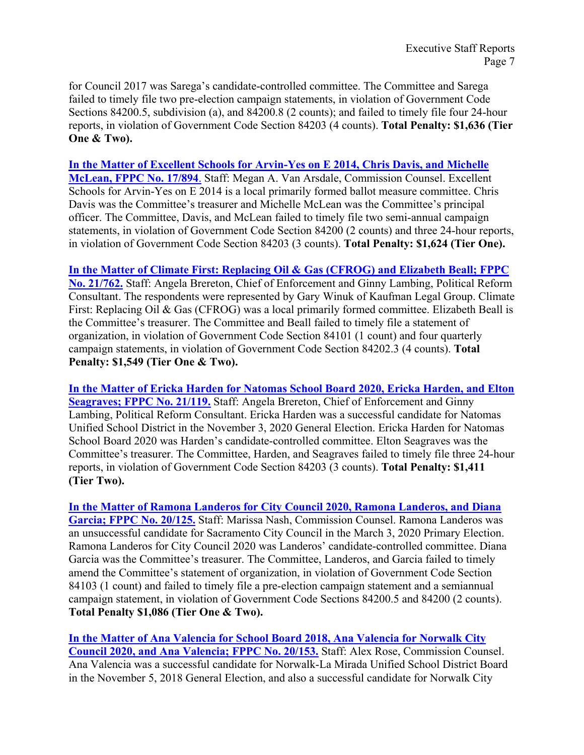for Council 2017 was Sarega's candidate-controlled committee. The Committee and Sarega failed to timely file two pre-election campaign statements, in violation of Government Code Sections 84200.5, subdivision (a), and 84200.8 (2 counts); and failed to timely file four 24-hour reports, in violation of Government Code Section 84203 (4 counts). **Total Penalty: \$1,636 (Tier One & Two).**

**[In the Matter of Excellent Schools for Arvin-Yes on E 2014, Chris Davis, and Michelle](https://www.fppc.ca.gov/content/dam/fppc/documents/Stipulations/2022/february/Excellent-Schools-for-Arvin-Stip.pdf)  [McLean, FPPC No. 17/894](https://www.fppc.ca.gov/content/dam/fppc/documents/Stipulations/2022/february/Excellent-Schools-for-Arvin-Stip.pdf)**. Staff: Megan A. Van Arsdale, Commission Counsel. Excellent Schools for Arvin-Yes on E 2014 is a local primarily formed ballot measure committee. Chris Davis was the Committee's treasurer and Michelle McLean was the Committee's principal officer. The Committee, Davis, and McLean failed to timely file two semi-annual campaign statements, in violation of Government Code Section 84200 (2 counts) and three 24-hour reports, in violation of Government Code Section 84203 (3 counts). **Total Penalty: \$1,624 (Tier One).**

**[In the Matter of Climate First: Replacing Oil & Gas \(CFROG\) and Elizabeth Beall; FPPC](https://www.fppc.ca.gov/content/dam/fppc/documents/Stipulations/2022/february/Climate-First-Stip.pdf)** 

**[No. 21/762.](https://www.fppc.ca.gov/content/dam/fppc/documents/Stipulations/2022/february/Climate-First-Stip.pdf)** Staff: Angela Brereton, Chief of Enforcement and Ginny Lambing, Political Reform Consultant. The respondents were represented by Gary Winuk of Kaufman Legal Group. Climate First: Replacing Oil & Gas (CFROG) was a local primarily formed committee. Elizabeth Beall is the Committee's treasurer. The Committee and Beall failed to timely file a statement of organization, in violation of Government Code Section 84101 (1 count) and four quarterly campaign statements, in violation of Government Code Section 84202.3 (4 counts). **Total Penalty: \$1,549 (Tier One & Two).**

**[In the Matter of Ericka Harden for Natomas School Board 2020, Ericka Harden, and Elton](https://www.fppc.ca.gov/content/dam/fppc/documents/Stipulations/2022/february/Ericka-Harden-Stip.pdf)  [Seagraves; FPPC No. 21/119.](https://www.fppc.ca.gov/content/dam/fppc/documents/Stipulations/2022/february/Ericka-Harden-Stip.pdf)** Staff: Angela Brereton, Chief of Enforcement and Ginny Lambing, Political Reform Consultant. Ericka Harden was a successful candidate for Natomas Unified School District in the November 3, 2020 General Election. Ericka Harden for Natomas School Board 2020 was Harden's candidate-controlled committee. Elton Seagraves was the Committee's treasurer. The Committee, Harden, and Seagraves failed to timely file three 24-hour reports, in violation of Government Code Section 84203 (3 counts). **Total Penalty: \$1,411 (Tier Two).**

**[In the Matter of Ramona Landeros for City Council 2020, Ramona Landeros, and Diana](https://www.fppc.ca.gov/content/dam/fppc/documents/Stipulations/2022/february/Ramona-Landeros-Stip.pdf)  [Garcia; FPPC No. 20/125.](https://www.fppc.ca.gov/content/dam/fppc/documents/Stipulations/2022/february/Ramona-Landeros-Stip.pdf)** Staff: Marissa Nash, Commission Counsel. Ramona Landeros was an unsuccessful candidate for Sacramento City Council in the March 3, 2020 Primary Election. Ramona Landeros for City Council 2020 was Landeros' candidate-controlled committee. Diana Garcia was the Committee's treasurer. The Committee, Landeros, and Garcia failed to timely amend the Committee's statement of organization, in violation of Government Code Section 84103 (1 count) and failed to timely file a pre-election campaign statement and a semiannual campaign statement, in violation of Government Code Sections 84200.5 and 84200 (2 counts). **Total Penalty \$1,086 (Tier One & Two).**

**[In the Matter of Ana Valencia for School Board 2018, Ana Valencia for Norwalk City](https://www.fppc.ca.gov/content/dam/fppc/documents/Stipulations/2022/february/Ana-Valencia-Stip.pdf)  [Council 2020, and Ana Valencia; FPPC No. 20/153.](https://www.fppc.ca.gov/content/dam/fppc/documents/Stipulations/2022/february/Ana-Valencia-Stip.pdf)** Staff: Alex Rose, Commission Counsel. Ana Valencia was a successful candidate for Norwalk-La Mirada Unified School District Board in the November 5, 2018 General Election, and also a successful candidate for Norwalk City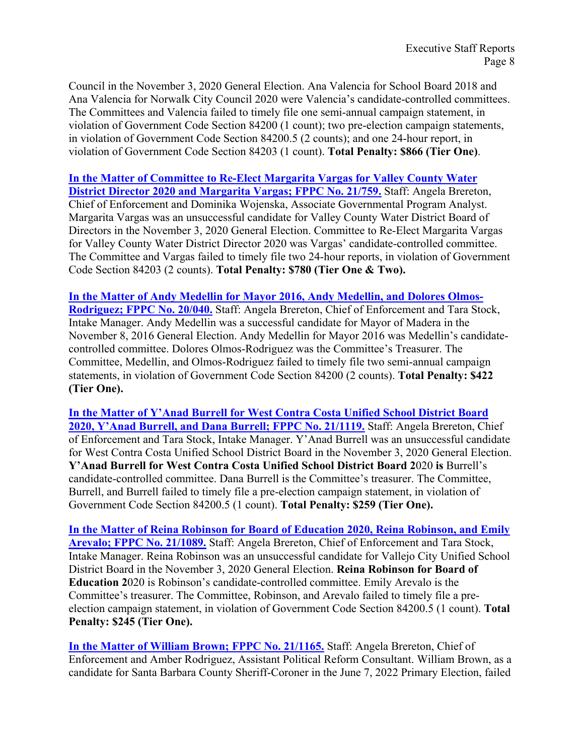Council in the November 3, 2020 General Election. Ana Valencia for School Board 2018 and Ana Valencia for Norwalk City Council 2020 were Valencia's candidate-controlled committees. The Committees and Valencia failed to timely file one semi-annual campaign statement, in violation of Government Code Section 84200 (1 count); two pre-election campaign statements, in violation of Government Code Section 84200.5 (2 counts); and one 24-hour report, in violation of Government Code Section 84203 (1 count). **Total Penalty: \$866 (Tier One)**.

### **[In the Matter of Committee to Re-Elect Margarita Vargas for Valley County Water](https://www.fppc.ca.gov/content/dam/fppc/documents/Stipulations/2022/february/Re-elect-Margarita-Vargas-for-Valley-County-Water-District-Director-2020.pdf)**

**[District Director 2020 and Margarita Vargas; FPPC No. 21/759.](https://www.fppc.ca.gov/content/dam/fppc/documents/Stipulations/2022/february/Re-elect-Margarita-Vargas-for-Valley-County-Water-District-Director-2020.pdf)** Staff: Angela Brereton, Chief of Enforcement and Dominika Wojenska, Associate Governmental Program Analyst. Margarita Vargas was an unsuccessful candidate for Valley County Water District Board of Directors in the November 3, 2020 General Election. Committee to Re-Elect Margarita Vargas for Valley County Water District Director 2020 was Vargas' candidate-controlled committee. The Committee and Vargas failed to timely file two 24-hour reports, in violation of Government Code Section 84203 (2 counts). **Total Penalty: \$780 (Tier One & Two).** 

**[In the Matter of Andy Medellin for Mayor 2016, Andy Medellin, and Dolores Olmos-](https://www.fppc.ca.gov/content/dam/fppc/documents/Stipulations/2022/february/Andy-Medellin-Stip.pdf)[Rodriguez; FPPC No. 20/040.](https://www.fppc.ca.gov/content/dam/fppc/documents/Stipulations/2022/february/Andy-Medellin-Stip.pdf)** Staff: Angela Brereton, Chief of Enforcement and Tara Stock, Intake Manager. Andy Medellin was a successful candidate for Mayor of Madera in the November 8, 2016 General Election. Andy Medellin for Mayor 2016 was Medellin's candidatecontrolled committee. Dolores Olmos-Rodriguez was the Committee's Treasurer. The Committee, Medellin, and Olmos-Rodriguez failed to timely file two semi-annual campaign statements, in violation of Government Code Section 84200 (2 counts). **Total Penalty: \$422 (Tier One).**

**[In the Matter of Y'Anad Burrell for West Contra Costa Unified School District Board](https://www.fppc.ca.gov/content/dam/fppc/documents/Stipulations/2022/february/Y%27Anad%20Burrell-Stip.pdf)  [2020, Y'Anad Burrell, and Dana Burrell; FPPC No. 21/1119.](https://www.fppc.ca.gov/content/dam/fppc/documents/Stipulations/2022/february/Y%27Anad%20Burrell-Stip.pdf)** Staff: Angela Brereton, Chief of Enforcement and Tara Stock, Intake Manager. Y'Anad Burrell was an unsuccessful candidate for West Contra Costa Unified School District Board in the November 3, 2020 General Election. **Y'Anad Burrell for West Contra Costa Unified School District Board 2**020 **is** Burrell's candidate-controlled committee. Dana Burrell is the Committee's treasurer. The Committee, Burrell, and Burrell failed to timely file a pre-election campaign statement, in violation of Government Code Section 84200.5 (1 count). **Total Penalty: \$259 (Tier One).**

**[In the Matter of Reina Robinson for Board of Education 2020, Reina Robinson, and Emily](https://www.fppc.ca.gov/content/dam/fppc/documents/Stipulations/2022/february/Reina-Robinson-Stip.pdf)  [Arevalo; FPPC No. 21/1089.](https://www.fppc.ca.gov/content/dam/fppc/documents/Stipulations/2022/february/Reina-Robinson-Stip.pdf)** Staff: Angela Brereton, Chief of Enforcement and Tara Stock, Intake Manager. Reina Robinson was an unsuccessful candidate for Vallejo City Unified School District Board in the November 3, 2020 General Election. **Reina Robinson for Board of Education 2**020 is Robinson's candidate-controlled committee. Emily Arevalo is the Committee's treasurer. The Committee, Robinson, and Arevalo failed to timely file a preelection campaign statement, in violation of Government Code Section 84200.5 (1 count). **Total Penalty: \$245 (Tier One).**

**[In the Matter of William Brown; FPPC No. 21/1165.](https://www.fppc.ca.gov/content/dam/fppc/documents/Stipulations/2022/february/William-Brown-Stip.pdf)** Staff: Angela Brereton, Chief of Enforcement and Amber Rodriguez, Assistant Political Reform Consultant. William Brown, as a candidate for Santa Barbara County Sheriff-Coroner in the June 7, 2022 Primary Election, failed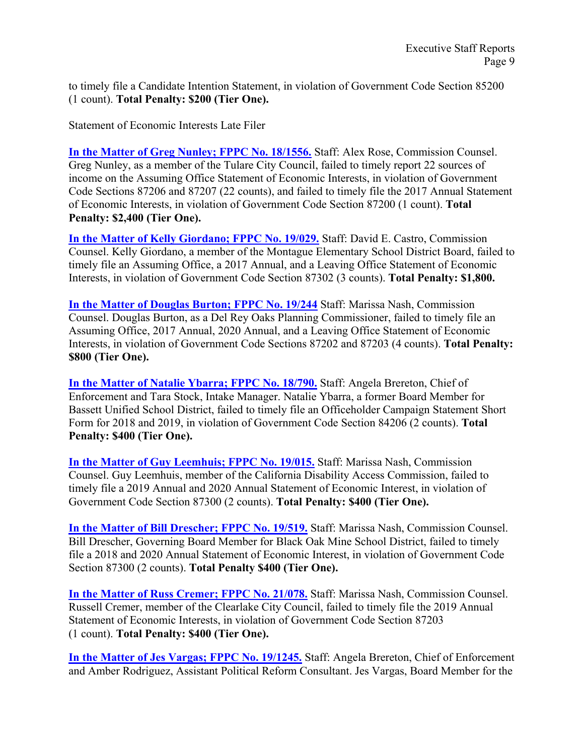to timely file a Candidate Intention Statement, in violation of Government Code Section 85200 (1 count). **Total Penalty: \$200 (Tier One).**

<span id="page-8-0"></span>Statement of Economic Interests Late Filer

**[In the Matter of Greg Nunley; FPPC No. 18/1556.](https://www.fppc.ca.gov/content/dam/fppc/documents/Stipulations/2022/february/Greg-Nunley-Stip.pdf)** Staff: Alex Rose, Commission Counsel. Greg Nunley, as a member of the Tulare City Council, failed to timely report 22 sources of income on the Assuming Office Statement of Economic Interests, in violation of Government Code Sections 87206 and 87207 (22 counts), and failed to timely file the 2017 Annual Statement of Economic Interests, in violation of Government Code Section 87200 (1 count). **Total Penalty: \$2,400 (Tier One).** 

**[In the Matter of Kelly Giordano; FPPC No. 19/029.](https://www.fppc.ca.gov/content/dam/fppc/documents/Stipulations/2022/february/Kelly-Giordano-Stip.pdf)** Staff: David E. Castro, Commission Counsel. Kelly Giordano, a member of the Montague Elementary School District Board, failed to timely file an Assuming Office, a 2017 Annual, and a Leaving Office Statement of Economic Interests, in violation of Government Code Section 87302 (3 counts). **Total Penalty: \$1,800.**

**[In the Matter of Douglas Burton; FPPC No. 19/244](https://www.fppc.ca.gov/content/dam/fppc/documents/Stipulations/2022/february/Douglas-Burton-Stip.pdf)** Staff: Marissa Nash, Commission Counsel. Douglas Burton, as a Del Rey Oaks Planning Commissioner, failed to timely file an Assuming Office, 2017 Annual, 2020 Annual, and a Leaving Office Statement of Economic Interests, in violation of Government Code Sections 87202 and 87203 (4 counts). **Total Penalty: \$800 (Tier One).**

**[In the Matter of Natalie Ybarra; FPPC No. 18/790.](https://www.fppc.ca.gov/content/dam/fppc/documents/Stipulations/2022/february/Natalie-Ybarra-Stip.pdf)** Staff: Angela Brereton, Chief of Enforcement and Tara Stock, Intake Manager. Natalie Ybarra, a former Board Member for Bassett Unified School District, failed to timely file an Officeholder Campaign Statement Short Form for 2018 and 2019, in violation of Government Code Section 84206 (2 counts). **Total Penalty: \$400 (Tier One).**

**[In the Matter of Guy Leemhuis; FPPC No. 19/015.](https://www.fppc.ca.gov/content/dam/fppc/documents/Stipulations/2022/february/Guy-Leemhuis-Stip.pdf)** Staff: Marissa Nash, Commission Counsel. Guy Leemhuis, member of the California Disability Access Commission, failed to timely file a 2019 Annual and 2020 Annual Statement of Economic Interest, in violation of Government Code Section 87300 (2 counts). **Total Penalty: \$400 (Tier One).** 

**In the Matter of [Bill Drescher; FPPC No. 19/519.](https://www.fppc.ca.gov/content/dam/fppc/documents/Stipulations/2022/february/Bill-Drescher-Stip.pdf)** Staff: Marissa Nash, Commission Counsel. Bill Drescher, Governing Board Member for Black Oak Mine School District, failed to timely file a 2018 and 2020 Annual Statement of Economic Interest, in violation of Government Code Section 87300 (2 counts). **Total Penalty \$400 (Tier One).**

**[In the Matter of Russ Cremer; FPPC No. 21/078.](https://www.fppc.ca.gov/content/dam/fppc/documents/Stipulations/2022/february/Russell-Cremer-Stip.pdf)** Staff: Marissa Nash, Commission Counsel. Russell Cremer, member of the Clearlake City Council, failed to timely file the 2019 Annual Statement of Economic Interests, in violation of Government Code Section 87203 (1 count). **Total Penalty: \$400 (Tier One).**

**[In the Matter of Jes Vargas; FPPC No. 19/1245.](https://www.fppc.ca.gov/content/dam/fppc/documents/Stipulations/2022/february/Jes-Vargas-Stipulation.pdf)** Staff: Angela Brereton, Chief of Enforcement and Amber Rodriguez, Assistant Political Reform Consultant. Jes Vargas, Board Member for the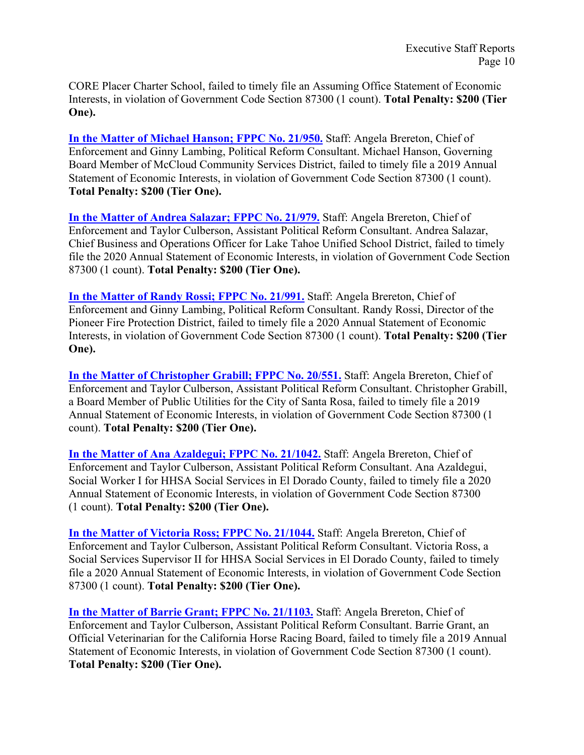CORE Placer Charter School, failed to timely file an Assuming Office Statement of Economic Interests, in violation of Government Code Section 87300 (1 count). **Total Penalty: \$200 (Tier One).**

**[In the Matter of Michael Hanson; FPPC No. 21/950.](https://www.fppc.ca.gov/content/dam/fppc/documents/Stipulations/2022/february/Michael-Hanson-Stip.pdf)** Staff: Angela Brereton, Chief of Enforcement and Ginny Lambing, Political Reform Consultant. Michael Hanson, Governing Board Member of McCloud Community Services District, failed to timely file a 2019 Annual Statement of Economic Interests, in violation of Government Code Section 87300 (1 count). **Total Penalty: \$200 (Tier One).**

**[In the Matter of Andrea Salazar; FPPC No. 21/979.](https://www.fppc.ca.gov/content/dam/fppc/documents/Stipulations/2022/february/Andrea%20Salazar-Stip.pdf)** Staff: Angela Brereton, Chief of Enforcement and Taylor Culberson, Assistant Political Reform Consultant. Andrea Salazar, Chief Business and Operations Officer for Lake Tahoe Unified School District, failed to timely file the 2020 Annual Statement of Economic Interests, in violation of Government Code Section 87300 (1 count). **Total Penalty: \$200 (Tier One).**

**[In the Matter of Randy Rossi; FPPC No. 21/991.](https://www.fppc.ca.gov/content/dam/fppc/documents/Stipulations/2022/february/Randy-Rossi-Stip.pdf)** Staff: Angela Brereton, Chief of Enforcement and Ginny Lambing, Political Reform Consultant. Randy Rossi, Director of the Pioneer Fire Protection District, failed to timely file a 2020 Annual Statement of Economic Interests, in violation of Government Code Section 87300 (1 count). **Total Penalty: \$200 (Tier One).**

**[In the Matter of Christopher Grabill; FPPC No. 20/551.](https://www.fppc.ca.gov/content/dam/fppc/documents/Stipulations/2022/february/Christopher-Grabill-Stip.pdf)** Staff: Angela Brereton, Chief of Enforcement and Taylor Culberson, Assistant Political Reform Consultant. Christopher Grabill, a Board Member of Public Utilities for the City of Santa Rosa, failed to timely file a 2019 Annual Statement of Economic Interests, in violation of Government Code Section 87300 (1 count). **Total Penalty: \$200 (Tier One).**

**[In the Matter of Ana Azaldegui; FPPC No. 21/1042.](https://www.fppc.ca.gov/content/dam/fppc/documents/Stipulations/2022/february/Ana-Azaldegui-Stip.pdf)** Staff: Angela Brereton, Chief of Enforcement and Taylor Culberson, Assistant Political Reform Consultant. Ana Azaldegui, Social Worker I for HHSA Social Services in El Dorado County, failed to timely file a 2020 Annual Statement of Economic Interests, in violation of Government Code Section 87300 (1 count). **Total Penalty: \$200 (Tier One).**

**[In the Matter of Victoria Ross; FPPC No. 21/1044.](https://www.fppc.ca.gov/content/dam/fppc/documents/Stipulations/2022/february/Victoria-Ross-Stip.pdf)** Staff: Angela Brereton, Chief of Enforcement and Taylor Culberson, Assistant Political Reform Consultant. Victoria Ross, a Social Services Supervisor II for HHSA Social Services in El Dorado County, failed to timely file a 2020 Annual Statement of Economic Interests, in violation of Government Code Section 87300 (1 count). **Total Penalty: \$200 (Tier One).**

**[In the Matter of Barrie Grant; FPPC No. 21/1103.](https://www.fppc.ca.gov/content/dam/fppc/documents/Stipulations/2022/february/Barrie-Grant-Stip.pdf)** Staff: Angela Brereton, Chief of Enforcement and Taylor Culberson, Assistant Political Reform Consultant. Barrie Grant, an Official Veterinarian for the California Horse Racing Board, failed to timely file a 2019 Annual Statement of Economic Interests, in violation of Government Code Section 87300 (1 count). **Total Penalty: \$200 (Tier One).**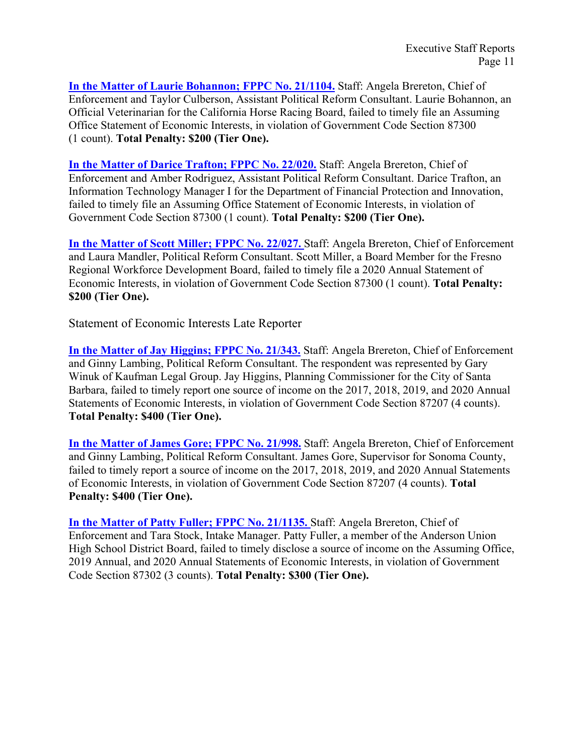**[In the Matter of Laurie Bohannon; FPPC No. 21/1104.](https://www.fppc.ca.gov/content/dam/fppc/documents/Stipulations/2022/february/Laurie-Bohannon-Stip.pdf)** Staff: Angela Brereton, Chief of Enforcement and Taylor Culberson, Assistant Political Reform Consultant. Laurie Bohannon, an Official Veterinarian for the California Horse Racing Board, failed to timely file an Assuming Office Statement of Economic Interests, in violation of Government Code Section 87300 (1 count). **Total Penalty: \$200 (Tier One).**

**[In the Matter of Darice Trafton; FPPC No. 22/020.](https://www.fppc.ca.gov/content/dam/fppc/documents/Stipulations/2022/february/Darice-Trafton-Stip.pdf)** Staff: Angela Brereton, Chief of Enforcement and Amber Rodriguez, Assistant Political Reform Consultant. Darice Trafton, an Information Technology Manager I for the Department of Financial Protection and Innovation, failed to timely file an Assuming Office Statement of Economic Interests, in violation of Government Code Section 87300 (1 count). **Total Penalty: \$200 (Tier One).**

**[In the Matter of Scott Miller; FPPC No. 22/027.](https://www.fppc.ca.gov/content/dam/fppc/documents/Stipulations/2022/february/Scott-Miller-Stip.pdf)** Staff: Angela Brereton, Chief of Enforcement and Laura Mandler, Political Reform Consultant. Scott Miller, a Board Member for the Fresno Regional Workforce Development Board, failed to timely file a 2020 Annual Statement of Economic Interests, in violation of Government Code Section 87300 (1 count). **Total Penalty: \$200 (Tier One).**

<span id="page-10-0"></span>Statement of Economic Interests Late Reporter

**[In the Matter of Jay Higgins; FPPC No. 21/343.](https://www.fppc.ca.gov/content/dam/fppc/documents/Stipulations/2022/february/Jay-Higgins-Stip.pdf)** Staff: Angela Brereton, Chief of Enforcement and Ginny Lambing, Political Reform Consultant. The respondent was represented by Gary Winuk of Kaufman Legal Group. Jay Higgins, Planning Commissioner for the City of Santa Barbara, failed to timely report one source of income on the 2017, 2018, 2019, and 2020 Annual Statements of Economic Interests, in violation of Government Code Section 87207 (4 counts). **Total Penalty: \$400 (Tier One).**

**[In the Matter of James Gore; FPPC No. 21/998.](https://www.fppc.ca.gov/content/dam/fppc/documents/Stipulations/2022/february/James-Gore-Stip.pdf)** Staff: Angela Brereton, Chief of Enforcement and Ginny Lambing, Political Reform Consultant. James Gore, Supervisor for Sonoma County, failed to timely report a source of income on the 2017, 2018, 2019, and 2020 Annual Statements of Economic Interests, in violation of Government Code Section 87207 (4 counts). **Total Penalty: \$400 (Tier One).**

**[In the Matter of Patty Fuller; FPPC No. 21/1135.](https://www.fppc.ca.gov/content/dam/fppc/documents/Stipulations/2022/february/Patty-Fuller-Stip.pdf)** Staff: Angela Brereton, Chief of Enforcement and Tara Stock, Intake Manager. Patty Fuller, a member of the Anderson Union High School District Board, failed to timely disclose a source of income on the Assuming Office, 2019 Annual, and 2020 Annual Statements of Economic Interests, in violation of Government Code Section 87302 (3 counts). **Total Penalty: \$300 (Tier One).**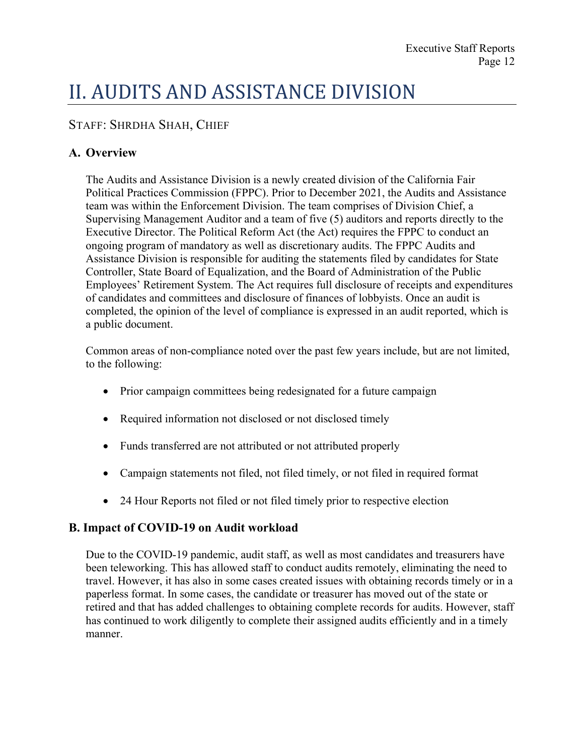### <span id="page-11-0"></span>II. AUDITS AND ASSISTANCE DIVISION

#### STAFF: SHRDHA SHAH, CHIEF

#### <span id="page-11-1"></span>**A. Overview**

The Audits and Assistance Division is a newly created division of the California Fair Political Practices Commission (FPPC). Prior to December 2021, the Audits and Assistance team was within the Enforcement Division. The team comprises of Division Chief, a Supervising Management Auditor and a team of five (5) auditors and reports directly to the Executive Director. The Political Reform Act (the Act) requires the FPPC to conduct an ongoing program of mandatory as well as discretionary audits. The FPPC Audits and Assistance Division is responsible for auditing the statements filed by candidates for State Controller, State Board of Equalization, and the Board of Administration of the Public Employees' Retirement System. The Act requires full disclosure of receipts and expenditures of candidates and committees and disclosure of finances of lobbyists. Once an audit is completed, the opinion of the level of compliance is expressed in an audit reported, which is a public document.

Common areas of non-compliance noted over the past few years include, but are not limited, to the following:

- Prior campaign committees being redesignated for a future campaign
- Required information not disclosed or not disclosed timely
- Funds transferred are not attributed or not attributed properly
- Campaign statements not filed, not filed timely, or not filed in required format
- 24 Hour Reports not filed or not filed timely prior to respective election

#### <span id="page-11-2"></span>**B. Impact of COVID-19 on Audit workload**

Due to the COVID-19 pandemic, audit staff, as well as most candidates and treasurers have been teleworking. This has allowed staff to conduct audits remotely, eliminating the need to travel. However, it has also in some cases created issues with obtaining records timely or in a paperless format. In some cases, the candidate or treasurer has moved out of the state or retired and that has added challenges to obtaining complete records for audits. However, staff has continued to work diligently to complete their assigned audits efficiently and in a timely manner.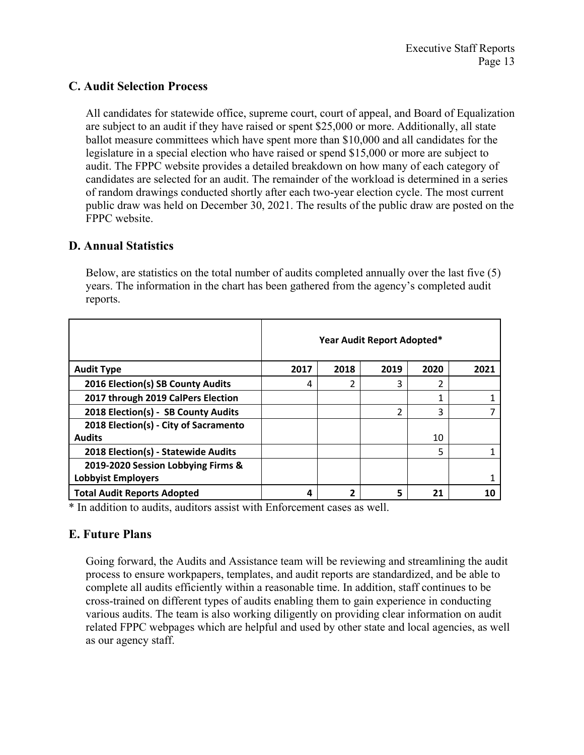#### <span id="page-12-0"></span>**C. Audit Selection Process**

All candidates for statewide office, supreme court, court of appeal, and Board of Equalization are subject to an audit if they have raised or spent \$25,000 or more. Additionally, all state ballot measure committees which have spent more than \$10,000 and all candidates for the legislature in a special election who have raised or spend \$15,000 or more are subject to audit. The FPPC website provides a detailed breakdown on how many of each category of candidates are selected for an audit. The remainder of the workload is determined in a series of random drawings conducted shortly after each two-year election cycle. The most current public draw was held on December 30, 2021. The results of the public draw are posted on the FPPC website.

#### <span id="page-12-1"></span>**D. Annual Statistics**

Below, are statistics on the total number of audits completed annually over the last five (5) years. The information in the chart has been gathered from the agency's completed audit reports.

|                                       | Year Audit Report Adopted* |      |               |      |      |
|---------------------------------------|----------------------------|------|---------------|------|------|
| <b>Audit Type</b>                     | 2017                       | 2018 | 2019          | 2020 | 2021 |
| 2016 Election(s) SB County Audits     | 4                          | ำ    | 3             | 2    |      |
| 2017 through 2019 CalPers Election    |                            |      |               | 1    |      |
| 2018 Election(s) - SB County Audits   |                            |      | $\mathfrak z$ | 3    |      |
| 2018 Election(s) - City of Sacramento |                            |      |               |      |      |
| <b>Audits</b>                         |                            |      |               | 10   |      |
| 2018 Election(s) - Statewide Audits   |                            |      |               | 5    |      |
| 2019-2020 Session Lobbying Firms &    |                            |      |               |      |      |
| <b>Lobbyist Employers</b>             |                            |      |               |      |      |
| <b>Total Audit Reports Adopted</b>    | 4                          | ר    | 5             | 21   | 10   |

\* In addition to audits, auditors assist with Enforcement cases as well.

#### <span id="page-12-2"></span>**E. Future Plans**

Going forward, the Audits and Assistance team will be reviewing and streamlining the audit process to ensure workpapers, templates, and audit reports are standardized, and be able to complete all audits efficiently within a reasonable time. In addition, staff continues to be cross-trained on different types of audits enabling them to gain experience in conducting various audits. The team is also working diligently on providing clear information on audit related FPPC webpages which are helpful and used by other state and local agencies, as well as our agency staff.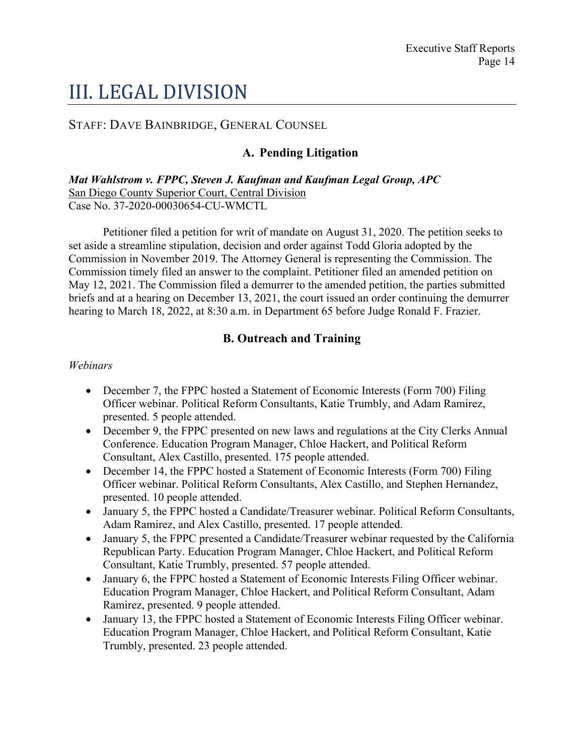### <span id="page-13-0"></span>III. LEGAL DIVISION

#### <span id="page-13-1"></span>STAFF: DAVE BAINBRIDGE, GENERAL COUNSEL

#### **A. Pending Litigation**

*Mat Wahlstrom v. FPPC, Steven J. Kaufman and Kaufman Legal Group, APC* San Diego County Superior Court, Central Division Case No. 37-2020-00030654-CU-WMCTL

Petitioner filed a petition for writ of mandate on August 31, 2020. The petition seeks to set aside a streamline stipulation, decision and order against Todd Gloria adopted by the Commission in November 2019. The Attorney General is representing the Commission. The Commission timely filed an answer to the complaint. Petitioner filed an amended petition on May 12, 2021. The Commission filed a demurrer to the amended petition, the parties submitted briefs and at a hearing on December 13, 2021, the court issued an order continuing the demurrer hearing to March 18, 2022, at 8:30 a.m. in Department 65 before Judge Ronald F. Frazier.

#### **B. Outreach and Training**

#### <span id="page-13-2"></span>*Webinars*

- December 7, the FPPC hosted a Statement of Economic Interests (Form 700) Filing Officer webinar. Political Reform Consultants, Katie Trumbly, and Adam Ramirez, presented. 5 people attended.
- December 9, the FPPC presented on new laws and regulations at the City Clerks Annual Conference. Education Program Manager, Chloe Hackert, and Political Reform Consultant, Alex Castillo, presented. 175 people attended.
- December 14, the FPPC hosted a Statement of Economic Interests (Form 700) Filing Officer webinar. Political Reform Consultants, Alex Castillo, and Stephen Hernandez, presented. 10 people attended.
- January 5, the FPPC hosted a Candidate/Treasurer webinar. Political Reform Consultants, Adam Ramirez, and Alex Castillo, presented. 17 people attended.
- January 5, the FPPC presented a Candidate/Treasurer webinar requested by the California Republican Party. Education Program Manager, Chloe Hackert, and Political Reform Consultant, Katie Trumbly, presented. 57 people attended.
- January 6, the FPPC hosted a Statement of Economic Interests Filing Officer webinar. Education Program Manager, Chloe Hackert, and Political Reform Consultant, Adam Ramirez, presented. 9 people attended.
- January 13, the FPPC hosted a Statement of Economic Interests Filing Officer webinar. Education Program Manager, Chloe Hackert, and Political Reform Consultant, Katie Trumbly, presented. 23 people attended.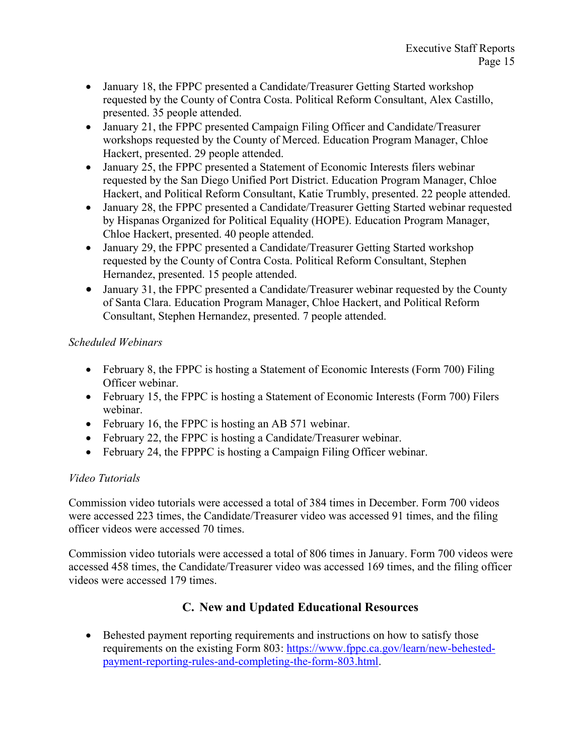- January 18, the FPPC presented a Candidate/Treasurer Getting Started workshop requested by the County of Contra Costa. Political Reform Consultant, Alex Castillo, presented. 35 people attended.
- January 21, the FPPC presented Campaign Filing Officer and Candidate/Treasurer workshops requested by the County of Merced. Education Program Manager, Chloe Hackert, presented. 29 people attended.
- January 25, the FPPC presented a Statement of Economic Interests filers webinar requested by the San Diego Unified Port District. Education Program Manager, Chloe Hackert, and Political Reform Consultant, Katie Trumbly, presented. 22 people attended.
- January 28, the FPPC presented a Candidate/Treasurer Getting Started webinar requested by Hispanas Organized for Political Equality (HOPE). Education Program Manager, Chloe Hackert, presented. 40 people attended.
- January 29, the FPPC presented a Candidate/Treasurer Getting Started workshop requested by the County of Contra Costa. Political Reform Consultant, Stephen Hernandez, presented. 15 people attended.
- January 31, the FPPC presented a Candidate/Treasurer webinar requested by the County of Santa Clara. Education Program Manager, Chloe Hackert, and Political Reform Consultant, Stephen Hernandez, presented. 7 people attended.

#### *Scheduled Webinars*

- February 8, the FPPC is hosting a Statement of Economic Interests (Form 700) Filing Officer webinar.
- February 15, the FPPC is hosting a Statement of Economic Interests (Form 700) Filers webinar.
- February 16, the FPPC is hosting an AB 571 webinar.
- February 22, the FPPC is hosting a Candidate/Treasurer webinar.
- February 24, the FPPPC is hosting a Campaign Filing Officer webinar.

#### *Video Tutorials*

Commission video tutorials were accessed a total of 384 times in December. Form 700 videos were accessed 223 times, the Candidate/Treasurer video was accessed 91 times, and the filing officer videos were accessed 70 times.

Commission video tutorials were accessed a total of 806 times in January. Form 700 videos were accessed 458 times, the Candidate/Treasurer video was accessed 169 times, and the filing officer videos were accessed 179 times.

#### **C. New and Updated Educational Resources**

<span id="page-14-0"></span>• Behested payment reporting requirements and instructions on how to satisfy those requirements on the existing Form 803: [https://www.fppc.ca.gov/learn/new-behested](https://www.fppc.ca.gov/learn/new-behested-payment-reporting-rules-and-completing-the-form-803.html)[payment-reporting-rules-and-completing-the-form-803.html.](https://www.fppc.ca.gov/learn/new-behested-payment-reporting-rules-and-completing-the-form-803.html)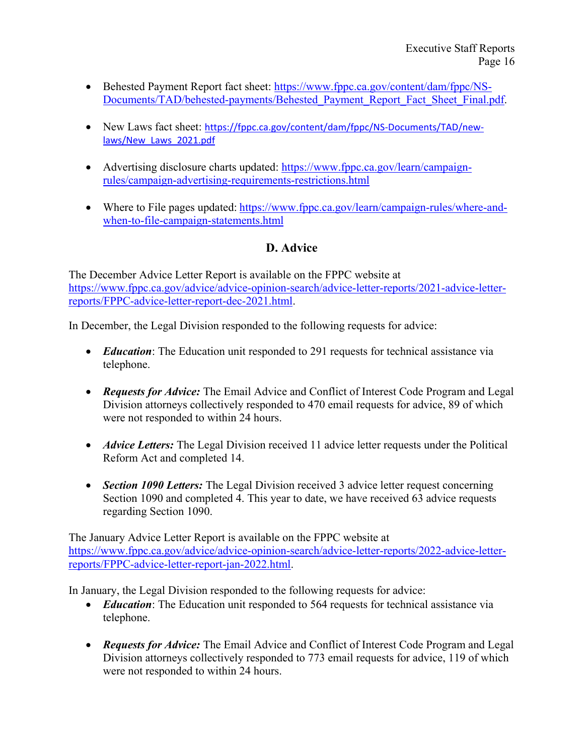- Behested Payment Report fact sheet: [https://www.fppc.ca.gov/content/dam/fppc/NS-](https://www.fppc.ca.gov/content/dam/fppc/NS-Documents/TAD/behested-payments/Behested_Payment_Report_Fact_Sheet_Final.pdf)[Documents/TAD/behested-payments/Behested\\_Payment\\_Report\\_Fact\\_Sheet\\_Final.pdf.](https://www.fppc.ca.gov/content/dam/fppc/NS-Documents/TAD/behested-payments/Behested_Payment_Report_Fact_Sheet_Final.pdf)
- New Laws fact sheet: [https://fppc.ca.gov/content/dam/fppc/NS-Documents/TAD/new](https://fppc.ca.gov/content/dam/fppc/NS-Documents/TAD/new-laws/New_Laws_2021.pdf)[laws/New\\_Laws\\_2021.pdf](https://fppc.ca.gov/content/dam/fppc/NS-Documents/TAD/new-laws/New_Laws_2021.pdf)
- Advertising disclosure charts updated: [https://www.fppc.ca.gov/learn/campaign](https://www.fppc.ca.gov/learn/campaign-rules/campaign-advertising-requirements-restrictions.html)[rules/campaign-advertising-requirements-restrictions.html](https://www.fppc.ca.gov/learn/campaign-rules/campaign-advertising-requirements-restrictions.html)
- <span id="page-15-0"></span>• Where to File pages updated: [https://www.fppc.ca.gov/learn/campaign-rules/where-and](https://www.fppc.ca.gov/learn/campaign-rules/where-and-when-to-file-campaign-statements.html)[when-to-file-campaign-statements.html](https://www.fppc.ca.gov/learn/campaign-rules/where-and-when-to-file-campaign-statements.html)

#### **D. Advice**

The December Advice Letter Report is available on the FPPC website at [https://www.fppc.ca.gov/advice/advice-opinion-search/advice-letter-reports/2021-advice-letter](https://www.fppc.ca.gov/advice/advice-opinion-search/advice-letter-reports/2021-advice-letter-reports/FPPC-advice-letter-report-dec-2021.html)[reports/FPPC-advice-letter-report-dec-2021.html.](https://www.fppc.ca.gov/advice/advice-opinion-search/advice-letter-reports/2021-advice-letter-reports/FPPC-advice-letter-report-dec-2021.html)

In December, the Legal Division responded to the following requests for advice:

- *Education*: The Education unit responded to 291 requests for technical assistance via telephone.
- *Requests for Advice:* The Email Advice and Conflict of Interest Code Program and Legal Division attorneys collectively responded to 470 email requests for advice, 89 of which were not responded to within 24 hours.
- *Advice Letters:* The Legal Division received 11 advice letter requests under the Political Reform Act and completed 14.
- *Section 1090 Letters:* The Legal Division received 3 advice letter request concerning Section 1090 and completed 4. This year to date, we have received 63 advice requests regarding Section 1090.

The January Advice Letter Report is available on the FPPC website at [https://www.fppc.ca.gov/advice/advice-opinion-search/advice-letter-reports/2022-advice-letter](https://www.fppc.ca.gov/advice/advice-opinion-search/advice-letter-reports/2022-advice-letter-reports/FPPC-advice-letter-report-jan-2022.html)[reports/FPPC-advice-letter-report-jan-2022.html.](https://www.fppc.ca.gov/advice/advice-opinion-search/advice-letter-reports/2022-advice-letter-reports/FPPC-advice-letter-report-jan-2022.html)

In January, the Legal Division responded to the following requests for advice:

- *Education*: The Education unit responded to 564 requests for technical assistance via telephone.
- *Requests for Advice:* The Email Advice and Conflict of Interest Code Program and Legal Division attorneys collectively responded to 773 email requests for advice, 119 of which were not responded to within 24 hours.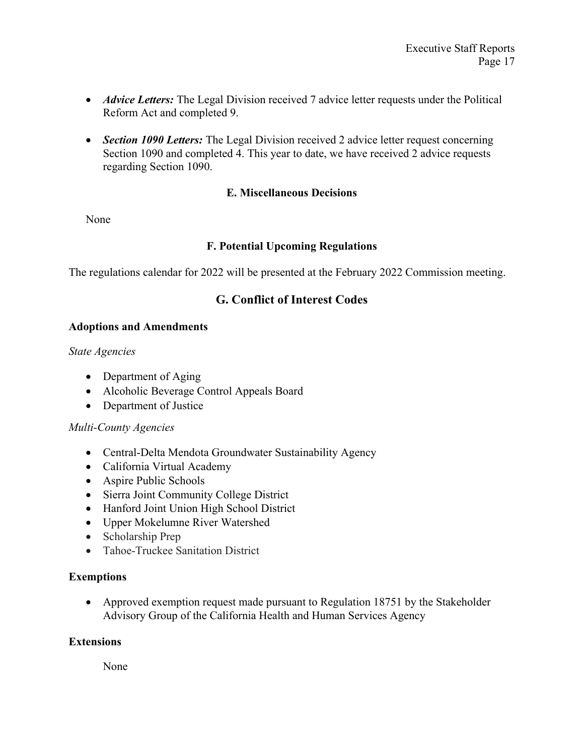- *Advice Letters:* The Legal Division received 7 advice letter requests under the Political Reform Act and completed 9.
- <span id="page-16-0"></span>• *Section 1090 Letters:* The Legal Division received 2 advice letter request concerning Section 1090 and completed 4. This year to date, we have received 2 advice requests regarding Section 1090.

#### **E. Miscellaneous Decisions**

<span id="page-16-1"></span>None

#### **F. Potential Upcoming Regulations**

<span id="page-16-2"></span>The regulations calendar for 2022 will be presented at the February 2022 Commission meeting.

#### **G. Conflict of Interest Codes**

#### **Adoptions and Amendments**

*State Agencies*

- Department of Aging
- Alcoholic Beverage Control Appeals Board
- Department of Justice

#### *Multi-County Agencies*

- Central-Delta Mendota Groundwater Sustainability Agency
- California Virtual Academy
- Aspire Public Schools
- Sierra Joint Community College District
- Hanford Joint Union High School District
- Upper Mokelumne River Watershed
- Scholarship Prep
- Tahoe-Truckee Sanitation District

#### **Exemptions**

• Approved exemption request made pursuant to Regulation 18751 by the Stakeholder Advisory Group of the California Health and Human Services Agency

#### **Extensions**

None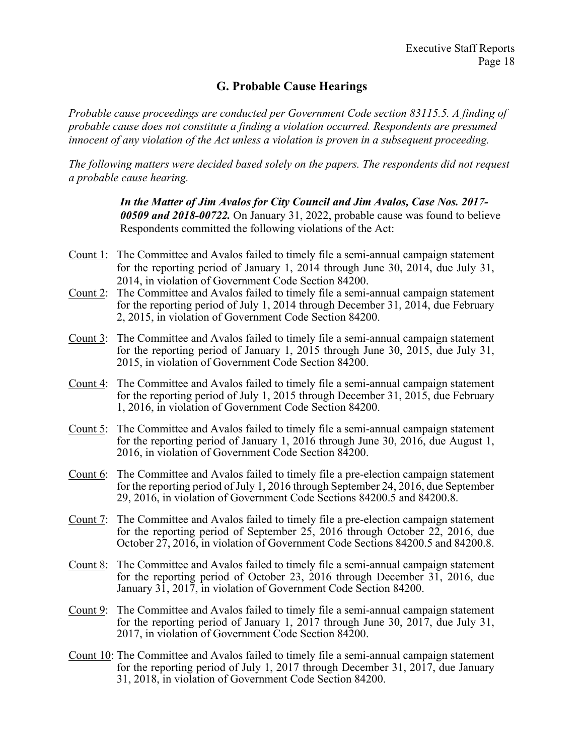#### **G. Probable Cause Hearings**

<span id="page-17-0"></span>*Probable cause proceedings are conducted per Government Code section 83115.5. A finding of probable cause does not constitute a finding a violation occurred. Respondents are presumed innocent of any violation of the Act unless a violation is proven in a subsequent proceeding.*

*The following matters were decided based solely on the papers. The respondents did not request a probable cause hearing.*

> *In the Matter of Jim Avalos for City Council and Jim Avalos, Case Nos. 2017- 00509 and 2018-00722.* On January 31, 2022, probable cause was found to believe Respondents committed the following violations of the Act:

- Count 1: The Committee and Avalos failed to timely file a semi-annual campaign statement for the reporting period of January 1, 2014 through June 30, 2014, due July 31, 2014, in violation of Government Code Section 84200.
- Count 2: The Committee and Avalos failed to timely file a semi-annual campaign statement for the reporting period of July 1, 2014 through December 31, 2014, due February 2, 2015, in violation of Government Code Section 84200.
- Count 3: The Committee and Avalos failed to timely file a semi-annual campaign statement for the reporting period of January 1, 2015 through June 30, 2015, due July 31, 2015, in violation of Government Code Section 84200.
- Count 4: The Committee and Avalos failed to timely file a semi-annual campaign statement for the reporting period of July 1, 2015 through December 31, 2015, due February 1, 2016, in violation of Government Code Section 84200.
- Count 5: The Committee and Avalos failed to timely file a semi-annual campaign statement for the reporting period of January 1, 2016 through June 30, 2016, due August 1, 2016, in violation of Government Code Section 84200.
- Count 6: The Committee and Avalos failed to timely file a pre-election campaign statement for the reporting period of July 1, 2016 through September 24, 2016, due September 29, 2016, in violation of Government Code Sections 84200.5 and 84200.8.
- Count 7: The Committee and Avalos failed to timely file a pre-election campaign statement for the reporting period of September 25, 2016 through October 22, 2016, due October 27, 2016, in violation of Government Code Sections 84200.5 and 84200.8.
- Count 8: The Committee and Avalos failed to timely file a semi-annual campaign statement for the reporting period of October 23, 2016 through December 31, 2016, due January 31, 2017, in violation of Government Code Section 84200.
- Count 9: The Committee and Avalos failed to timely file a semi-annual campaign statement for the reporting period of January 1, 2017 through June 30, 2017, due July 31, 2017, in violation of Government Code Section 84200.
- Count 10: The Committee and Avalos failed to timely file a semi-annual campaign statement for the reporting period of July 1, 2017 through December 31, 2017, due January 31, 2018, in violation of Government Code Section 84200.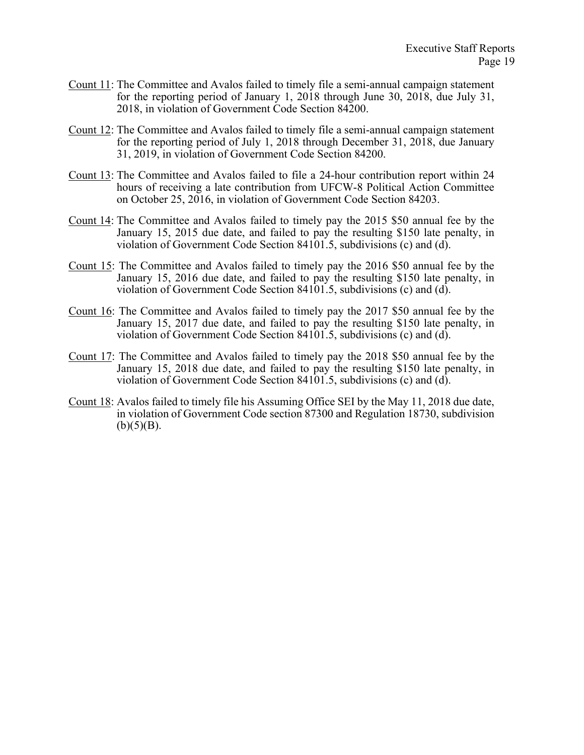- Count 11: The Committee and Avalos failed to timely file a semi-annual campaign statement for the reporting period of January 1, 2018 through June 30, 2018, due July 31, 2018, in violation of Government Code Section 84200.
- Count 12: The Committee and Avalos failed to timely file a semi-annual campaign statement for the reporting period of July 1, 2018 through December 31, 2018, due January 31, 2019, in violation of Government Code Section 84200.
- Count 13: The Committee and Avalos failed to file a 24-hour contribution report within 24 hours of receiving a late contribution from UFCW-8 Political Action Committee on October 25, 2016, in violation of Government Code Section 84203.
- Count 14: The Committee and Avalos failed to timely pay the 2015 \$50 annual fee by the January 15, 2015 due date, and failed to pay the resulting \$150 late penalty, in violation of Government Code Section 84101.5, subdivisions (c) and (d).
- Count 15: The Committee and Avalos failed to timely pay the 2016 \$50 annual fee by the January 15, 2016 due date, and failed to pay the resulting \$150 late penalty, in violation of Government Code Section 84101.5, subdivisions (c) and (d).
- Count 16: The Committee and Avalos failed to timely pay the 2017 \$50 annual fee by the January 15, 2017 due date, and failed to pay the resulting \$150 late penalty, in violation of Government Code Section 84101.5, subdivisions (c) and (d).
- Count 17: The Committee and Avalos failed to timely pay the 2018 \$50 annual fee by the January 15, 2018 due date, and failed to pay the resulting \$150 late penalty, in violation of Government Code Section 84101.5, subdivisions (c) and (d).
- Count 18: Avalos failed to timely file his Assuming Office SEI by the May 11, 2018 due date, in violation of Government Code section 87300 and Regulation 18730, subdivision  $(b)(5)(B).$